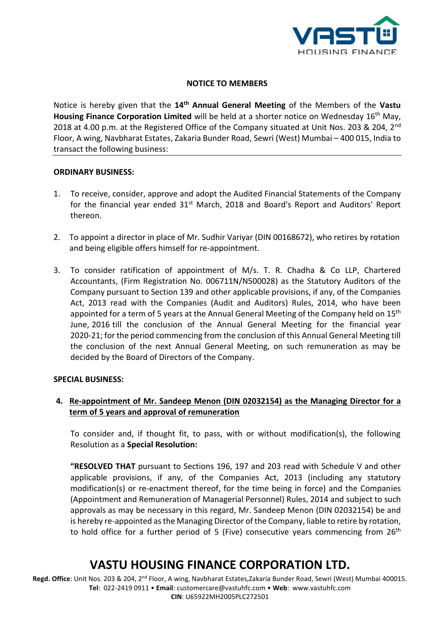

### **NOTICE TO MEMBERS**

Notice is hereby given that the **14th Annual General Meeting** of the Members of the **Vastu Housing Finance Corporation Limited** will be held at a shorter notice on Wednesday 16<sup>th</sup> May, 2018 at 4.00 p.m. at the Registered Office of the Company situated at Unit Nos. 203 & 204. 2<sup>nd</sup> Floor, A wing, Navbharat Estates, Zakaria Bunder Road, Sewri (West) Mumbai – 400 015, India to transact the following business:

#### **ORDINARY BUSINESS:**

- 1. To receive, consider, approve and adopt the Audited Financial Statements of the Company for the financial year ended 31<sup>st</sup> March, 2018 and Board's Report and Auditors' Report thereon.
- 2. To appoint a director in place of Mr. Sudhir Variyar (DIN 00168672), who retires by rotation and being eligible offers himself for re-appointment.
- 3. To consider ratification of appointment of M/s. T. R. Chadha & Co LLP, Chartered Accountants, (Firm Registration No. 006711N/N500028) as the Statutory Auditors of the Company pursuant to Section 139 and other applicable provisions, if any, of the Companies Act, 2013 read with the Companies (Audit and Auditors) Rules, 2014, who have been appointed for a term of 5 years at the Annual General Meeting of the Company held on 15<sup>th</sup> June, 2016 till the conclusion of the Annual General Meeting for the financial year 2020-21; for the period commencing from the conclusion of this Annual General Meeting till the conclusion of the next Annual General Meeting, on such remuneration as may be decided by the Board of Directors of the Company.

#### **SPECIAL BUSINESS:**

### **4. Re-appointment of Mr. Sandeep Menon (DIN 02032154) as the Managing Director for a term of 5 years and approval of remuneration**

To consider and, if thought fit, to pass, with or without modification(s), the following Resolution as a **Special Resolution:**

**"RESOLVED THAT** pursuant to Sections 196, 197 and 203 read with Schedule V and other applicable provisions, if any, of the Companies Act, 2013 (including any statutory modification(s) or re-enactment thereof, for the time being in force) and the Companies (Appointment and Remuneration of Managerial Personnel) Rules, 2014 and subject to such approvals as may be necessary in this regard, Mr. Sandeep Menon (DIN 02032154) be and is hereby re-appointed as the Managing Director of the Company, liable to retire by rotation, to hold office for a further period of 5 (Five) consecutive years commencing from 26<sup>th</sup>

## **VASTU HOUSING FINANCE CORPORATION LTD.**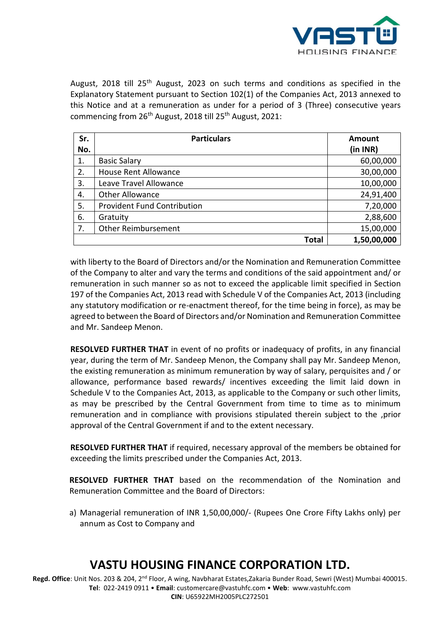

August, 2018 till 25<sup>th</sup> August, 2023 on such terms and conditions as specified in the Explanatory Statement pursuant to Section 102(1) of the Companies Act, 2013 annexed to this Notice and at a remuneration as under for a period of 3 (Three) consecutive years commencing from 26<sup>th</sup> August, 2018 till 25<sup>th</sup> August, 2021:

| Sr. | <b>Particulars</b>                 | Amount      |  |
|-----|------------------------------------|-------------|--|
| No. |                                    | (in INR)    |  |
| 1.  | <b>Basic Salary</b>                | 60,00,000   |  |
| 2.  | <b>House Rent Allowance</b>        | 30,00,000   |  |
| 3.  | Leave Travel Allowance             | 10,00,000   |  |
| 4.  | <b>Other Allowance</b>             | 24,91,400   |  |
| 5.  | <b>Provident Fund Contribution</b> | 7,20,000    |  |
| 6.  | Gratuity                           | 2,88,600    |  |
| 7.  | <b>Other Reimbursement</b>         | 15,00,000   |  |
|     | <b>Total</b>                       | 1,50,00,000 |  |

with liberty to the Board of Directors and/or the Nomination and Remuneration Committee of the Company to alter and vary the terms and conditions of the said appointment and/ or remuneration in such manner so as not to exceed the applicable limit specified in Section 197 of the Companies Act, 2013 read with Schedule V of the Companies Act, 2013 (including any statutory modification or re-enactment thereof, for the time being in force), as may be agreed to between the Board of Directors and/or Nomination and Remuneration Committee and Mr. Sandeep Menon.

**RESOLVED FURTHER THAT** in event of no profits or inadequacy of profits, in any financial year, during the term of Mr. Sandeep Menon, the Company shall pay Mr. Sandeep Menon, the existing remuneration as minimum remuneration by way of salary, perquisites and / or allowance, performance based rewards/ incentives exceeding the limit laid down in Schedule V to the Companies Act, 2013, as applicable to the Company or such other limits, as may be prescribed by the Central Government from time to time as to minimum remuneration and in compliance with provisions stipulated therein subject to the ,prior approval of the Central Government if and to the extent necessary.

**RESOLVED FURTHER THAT** if required, necessary approval of the members be obtained for exceeding the limits prescribed under the Companies Act, 2013.

**RESOLVED FURTHER THAT** based on the recommendation of the Nomination and Remuneration Committee and the Board of Directors:

a) Managerial remuneration of INR 1,50,00,000/- (Rupees One Crore Fifty Lakhs only) per annum as Cost to Company and

# **VASTU HOUSING FINANCE CORPORATION LTD.**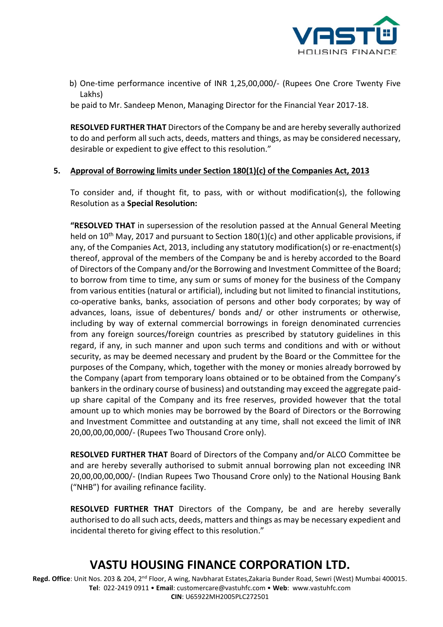![](_page_2_Picture_0.jpeg)

b) One-time performance incentive of INR 1,25,00,000/- (Rupees One Crore Twenty Five Lakhs)

be paid to Mr. Sandeep Menon, Managing Director for the Financial Year 2017-18.

**RESOLVED FURTHER THAT** Directors of the Company be and are hereby severally authorized to do and perform all such acts, deeds, matters and things, as may be considered necessary, desirable or expedient to give effect to this resolution."

### **5. Approval of Borrowing limits under Section 180(1)(c) of the Companies Act, 2013**

To consider and, if thought fit, to pass, with or without modification(s), the following Resolution as a **Special Resolution:**

**"RESOLVED THAT** in supersession of the resolution passed at the Annual General Meeting held on 10<sup>th</sup> May, 2017 and pursuant to Section 180(1)(c) and other applicable provisions, if any, of the Companies Act, 2013, including any statutory modification(s) or re-enactment(s) thereof, approval of the members of the Company be and is hereby accorded to the Board of Directors of the Company and/or the Borrowing and Investment Committee of the Board; to borrow from time to time, any sum or sums of money for the business of the Company from various entities (natural or artificial), including but not limited to financial institutions, co-operative banks, banks, association of persons and other body corporates; by way of advances, loans, issue of debentures/ bonds and/ or other instruments or otherwise, including by way of external commercial borrowings in foreign denominated currencies from any foreign sources/foreign countries as prescribed by statutory guidelines in this regard, if any, in such manner and upon such terms and conditions and with or without security, as may be deemed necessary and prudent by the Board or the Committee for the purposes of the Company, which, together with the money or monies already borrowed by the Company (apart from temporary loans obtained or to be obtained from the Company's bankers in the ordinary course of business) and outstanding may exceed the aggregate paidup share capital of the Company and its free reserves, provided however that the total amount up to which monies may be borrowed by the Board of Directors or the Borrowing and Investment Committee and outstanding at any time, shall not exceed the limit of INR 20,00,00,00,000/- (Rupees Two Thousand Crore only).

**RESOLVED FURTHER THAT** Board of Directors of the Company and/or ALCO Committee be and are hereby severally authorised to submit annual borrowing plan not exceeding INR 20,00,00,00,000/- (Indian Rupees Two Thousand Crore only) to the National Housing Bank ("NHB") for availing refinance facility.

**RESOLVED FURTHER THAT** Directors of the Company, be and are hereby severally authorised to do all such acts, deeds, matters and things as may be necessary expedient and incidental thereto for giving effect to this resolution."

## **VASTU HOUSING FINANCE CORPORATION LTD.**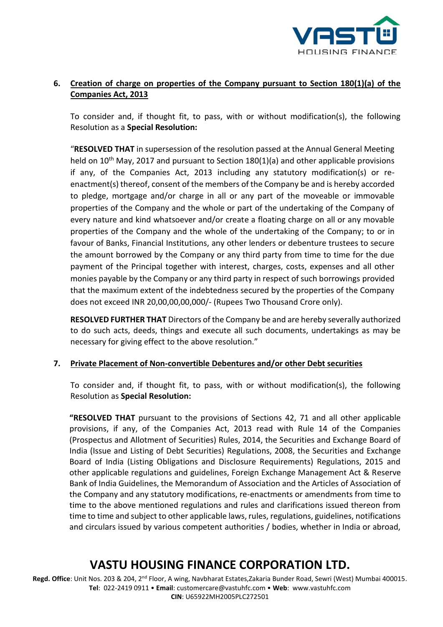![](_page_3_Picture_0.jpeg)

### **6. Creation of charge on properties of the Company pursuant to Section 180(1)(a) of the Companies Act, 2013**

To consider and, if thought fit, to pass, with or without modification(s), the following Resolution as a **Special Resolution:**

"**RESOLVED THAT** in supersession of the resolution passed at the Annual General Meeting held on 10<sup>th</sup> May, 2017 and pursuant to Section 180(1)(a) and other applicable provisions if any, of the Companies Act, 2013 including any statutory modification(s) or reenactment(s) thereof, consent of the members of the Company be and is hereby accorded to pledge, mortgage and/or charge in all or any part of the moveable or immovable properties of the Company and the whole or part of the undertaking of the Company of every nature and kind whatsoever and/or create a floating charge on all or any movable properties of the Company and the whole of the undertaking of the Company; to or in favour of Banks, Financial Institutions, any other lenders or debenture trustees to secure the amount borrowed by the Company or any third party from time to time for the due payment of the Principal together with interest, charges, costs, expenses and all other monies payable by the Company or any third party in respect of such borrowings provided that the maximum extent of the indebtedness secured by the properties of the Company does not exceed INR 20,00,00,00,000/- (Rupees Two Thousand Crore only).

**RESOLVED FURTHER THAT** Directors of the Company be and are hereby severally authorized to do such acts, deeds, things and execute all such documents, undertakings as may be necessary for giving effect to the above resolution."

#### **7. Private Placement of Non-convertible Debentures and/or other Debt securities**

To consider and, if thought fit, to pass, with or without modification(s), the following Resolution as **Special Resolution:**

**"RESOLVED THAT** pursuant to the provisions of Sections 42, 71 and all other applicable provisions, if any, of the Companies Act, 2013 read with Rule 14 of the Companies (Prospectus and Allotment of Securities) Rules, 2014, the Securities and Exchange Board of India (Issue and Listing of Debt Securities) Regulations, 2008, the Securities and Exchange Board of India (Listing Obligations and Disclosure Requirements) Regulations, 2015 and other applicable regulations and guidelines, Foreign Exchange Management Act & Reserve Bank of India Guidelines, the Memorandum of Association and the Articles of Association of the Company and any statutory modifications, re-enactments or amendments from time to time to the above mentioned regulations and rules and clarifications issued thereon from time to time and subject to other applicable laws, rules, regulations, guidelines, notifications and circulars issued by various competent authorities / bodies, whether in India or abroad,

# **VASTU HOUSING FINANCE CORPORATION LTD.**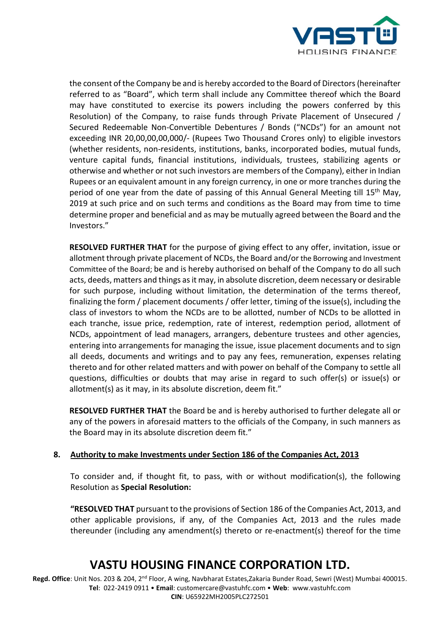![](_page_4_Picture_0.jpeg)

the consent of the Company be and is hereby accorded to the Board of Directors (hereinafter referred to as "Board", which term shall include any Committee thereof which the Board may have constituted to exercise its powers including the powers conferred by this Resolution) of the Company, to raise funds through Private Placement of Unsecured / Secured Redeemable Non-Convertible Debentures / Bonds ("NCDs") for an amount not exceeding INR 20,00,00,00,000/- (Rupees Two Thousand Crores only) to eligible investors (whether residents, non-residents, institutions, banks, incorporated bodies, mutual funds, venture capital funds, financial institutions, individuals, trustees, stabilizing agents or otherwise and whether or not such investors are members of the Company), either in Indian Rupees or an equivalent amount in any foreign currency, in one or more tranches during the period of one year from the date of passing of this Annual General Meeting till 15<sup>th</sup> May, 2019 at such price and on such terms and conditions as the Board may from time to time determine proper and beneficial and as may be mutually agreed between the Board and the Investors."

**RESOLVED FURTHER THAT** for the purpose of giving effect to any offer, invitation, issue or allotment through private placement of NCDs, the Board and/or the Borrowing and Investment Committee of the Board; be and is hereby authorised on behalf of the Company to do all such acts, deeds, matters and things as it may, in absolute discretion, deem necessary or desirable for such purpose, including without limitation, the determination of the terms thereof, finalizing the form / placement documents / offer letter, timing of the issue(s), including the class of investors to whom the NCDs are to be allotted, number of NCDs to be allotted in each tranche, issue price, redemption, rate of interest, redemption period, allotment of NCDs, appointment of lead managers, arrangers, debenture trustees and other agencies, entering into arrangements for managing the issue, issue placement documents and to sign all deeds, documents and writings and to pay any fees, remuneration, expenses relating thereto and for other related matters and with power on behalf of the Company to settle all questions, difficulties or doubts that may arise in regard to such offer(s) or issue(s) or allotment(s) as it may, in its absolute discretion, deem fit."

**RESOLVED FURTHER THAT** the Board be and is hereby authorised to further delegate all or any of the powers in aforesaid matters to the officials of the Company, in such manners as the Board may in its absolute discretion deem fit."

### **8. Authority to make Investments under Section 186 of the Companies Act, 2013**

To consider and, if thought fit, to pass, with or without modification(s), the following Resolution as **Special Resolution:**

**"RESOLVED THAT** pursuant to the provisions of Section 186 of the Companies Act, 2013, and other applicable provisions, if any, of the Companies Act, 2013 and the rules made thereunder (including any amendment(s) thereto or re-enactment(s) thereof for the time

## **VASTU HOUSING FINANCE CORPORATION LTD.**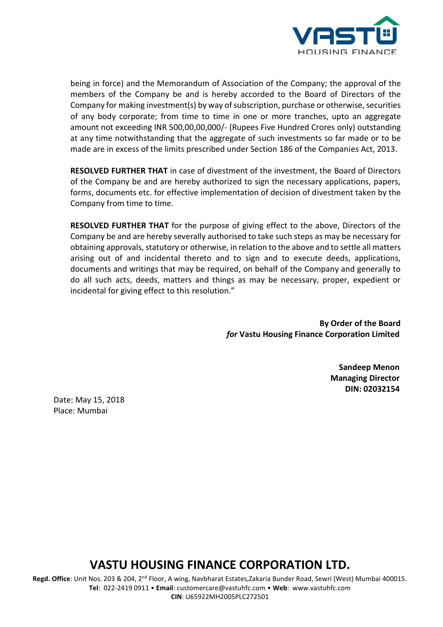![](_page_5_Picture_0.jpeg)

being in force) and the Memorandum of Association of the Company; the approval of the members of the Company be and is hereby accorded to the Board of Directors of the Company for making investment(s) by way of subscription, purchase or otherwise, securities of any body corporate; from time to time in one or more tranches, upto an aggregate amount not exceeding INR 500,00,00,000/- (Rupees Five Hundred Crores only) outstanding at any time notwithstanding that the aggregate of such investments so far made or to be made are in excess of the limits prescribed under Section 186 of the Companies Act, 2013.

**RESOLVED FURTHER THAT** in case of divestment of the investment, the Board of Directors of the Company be and are hereby authorized to sign the necessary applications, papers, forms, documents etc. for effective implementation of decision of divestment taken by the Company from time to time.

**RESOLVED FURTHER THAT** for the purpose of giving effect to the above, Directors of the Company be and are hereby severally authorised to take such steps as may be necessary for obtaining approvals, statutory or otherwise, in relation to the above and to settle all matters arising out of and incidental thereto and to sign and to execute deeds, applications, documents and writings that may be required, on behalf of the Company and generally to do all such acts, deeds, matters and things as may be necessary, proper, expedient or incidental for giving effect to this resolution."

> **By Order of the Board**  *for* **Vastu Housing Finance Corporation Limited**

> > **Sandeep Menon Managing Director DIN: 02032154**

Date: May 15, 2018 Place: Mumbai

### **VASTU HOUSING FINANCE CORPORATION LTD.**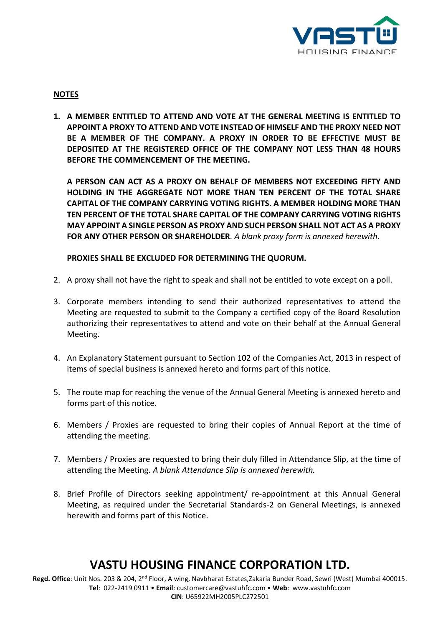![](_page_6_Picture_0.jpeg)

#### **NOTES**

**1. A MEMBER ENTITLED TO ATTEND AND VOTE AT THE GENERAL MEETING IS ENTITLED TO APPOINT A PROXY TO ATTEND AND VOTE INSTEAD OF HIMSELF AND THE PROXY NEED NOT BE A MEMBER OF THE COMPANY. A PROXY IN ORDER TO BE EFFECTIVE MUST BE DEPOSITED AT THE REGISTERED OFFICE OF THE COMPANY NOT LESS THAN 48 HOURS BEFORE THE COMMENCEMENT OF THE MEETING.**

**A PERSON CAN ACT AS A PROXY ON BEHALF OF MEMBERS NOT EXCEEDING FIFTY AND HOLDING IN THE AGGREGATE NOT MORE THAN TEN PERCENT OF THE TOTAL SHARE CAPITAL OF THE COMPANY CARRYING VOTING RIGHTS. A MEMBER HOLDING MORE THAN TEN PERCENT OF THE TOTAL SHARE CAPITAL OF THE COMPANY CARRYING VOTING RIGHTS MAY APPOINT A SINGLE PERSON AS PROXY AND SUCH PERSON SHALL NOT ACT AS A PROXY FOR ANY OTHER PERSON OR SHAREHOLDER***. A blank proxy form is annexed herewith.*

**PROXIES SHALL BE EXCLUDED FOR DETERMINING THE QUORUM.**

- 2. A proxy shall not have the right to speak and shall not be entitled to vote except on a poll.
- 3. Corporate members intending to send their authorized representatives to attend the Meeting are requested to submit to the Company a certified copy of the Board Resolution authorizing their representatives to attend and vote on their behalf at the Annual General Meeting.
- 4. An Explanatory Statement pursuant to Section 102 of the Companies Act, 2013 in respect of items of special business is annexed hereto and forms part of this notice.
- 5. The route map for reaching the venue of the Annual General Meeting is annexed hereto and forms part of this notice.
- 6. Members / Proxies are requested to bring their copies of Annual Report at the time of attending the meeting.
- 7. Members / Proxies are requested to bring their duly filled in Attendance Slip, at the time of attending the Meeting. *A blank Attendance Slip is annexed herewith.*
- 8. Brief Profile of Directors seeking appointment/ re-appointment at this Annual General Meeting, as required under the Secretarial Standards-2 on General Meetings, is annexed herewith and forms part of this Notice.

# **VASTU HOUSING FINANCE CORPORATION LTD.**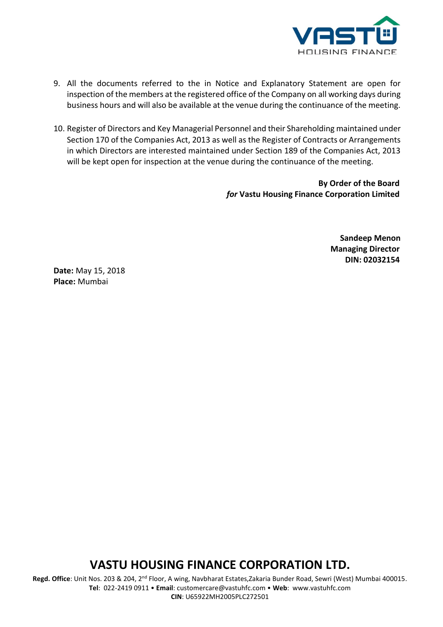![](_page_7_Picture_0.jpeg)

- 9. All the documents referred to the in Notice and Explanatory Statement are open for inspection of the members at the registered office of the Company on all working days during business hours and will also be available at the venue during the continuance of the meeting.
- 10. Register of Directors and Key Managerial Personnel and their Shareholding maintained under Section 170 of the Companies Act, 2013 as well as the Register of Contracts or Arrangements in which Directors are interested maintained under Section 189 of the Companies Act, 2013 will be kept open for inspection at the venue during the continuance of the meeting.

**By Order of the Board**  *for* **Vastu Housing Finance Corporation Limited**

> **Sandeep Menon Managing Director DIN: 02032154**

**Date:** May 15, 2018 **Place:** Mumbai

## **VASTU HOUSING FINANCE CORPORATION LTD.**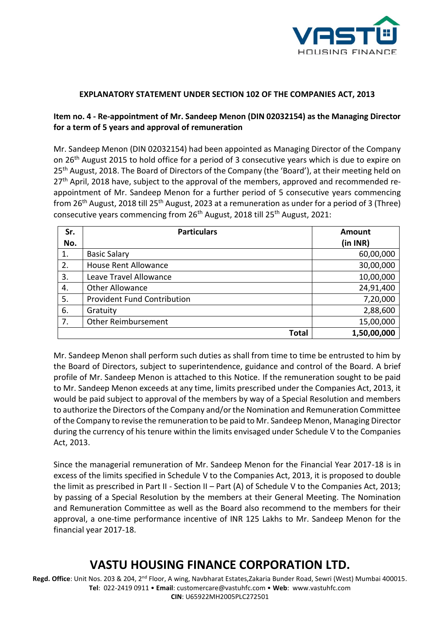![](_page_8_Picture_0.jpeg)

### **EXPLANATORY STATEMENT UNDER SECTION 102 OF THE COMPANIES ACT, 2013**

### **Item no. 4 - Re-appointment of Mr. Sandeep Menon (DIN 02032154) as the Managing Director for a term of 5 years and approval of remuneration**

Mr. Sandeep Menon (DIN 02032154) had been appointed as Managing Director of the Company on 26th August 2015 to hold office for a period of 3 consecutive years which is due to expire on 25<sup>th</sup> August, 2018. The Board of Directors of the Company (the 'Board'), at their meeting held on 27<sup>th</sup> April, 2018 have, subject to the approval of the members, approved and recommended reappointment of Mr. Sandeep Menon for a further period of 5 consecutive years commencing from 26<sup>th</sup> August, 2018 till 25<sup>th</sup> August, 2023 at a remuneration as under for a period of 3 (Three) consecutive years commencing from 26th August, 2018 till 25th August, 2021:

| Sr.<br>No. | <b>Particulars</b>                 | <b>Amount</b><br>(in INR) |  |
|------------|------------------------------------|---------------------------|--|
| 1.         | <b>Basic Salary</b>                | 60,00,000                 |  |
| 2.         | <b>House Rent Allowance</b>        | 30,00,000                 |  |
| 3.         | Leave Travel Allowance             | 10,00,000                 |  |
| 4.         | <b>Other Allowance</b>             | 24,91,400                 |  |
| 5.         | <b>Provident Fund Contribution</b> | 7,20,000                  |  |
| 6.         | Gratuity                           | 2,88,600                  |  |
| 7.         | <b>Other Reimbursement</b>         | 15,00,000                 |  |
|            | <b>Total</b>                       | 1,50,00,000               |  |

Mr. Sandeep Menon shall perform such duties as shall from time to time be entrusted to him by the Board of Directors, subject to superintendence, guidance and control of the Board. A brief profile of Mr. Sandeep Menon is attached to this Notice. If the remuneration sought to be paid to Mr. Sandeep Menon exceeds at any time, limits prescribed under the Companies Act, 2013, it would be paid subject to approval of the members by way of a Special Resolution and members to authorize the Directors of the Company and/or the Nomination and Remuneration Committee of the Company to revise the remuneration to be paid to Mr. Sandeep Menon, Managing Director during the currency of his tenure within the limits envisaged under Schedule V to the Companies Act, 2013.

Since the managerial remuneration of Mr. Sandeep Menon for the Financial Year 2017-18 is in excess of the limits specified in Schedule V to the Companies Act, 2013, it is proposed to double the limit as prescribed in Part II - Section II – Part (A) of Schedule V to the Companies Act, 2013; by passing of a Special Resolution by the members at their General Meeting. The Nomination and Remuneration Committee as well as the Board also recommend to the members for their approval, a one-time performance incentive of INR 125 Lakhs to Mr. Sandeep Menon for the financial year 2017-18.

## **VASTU HOUSING FINANCE CORPORATION LTD.**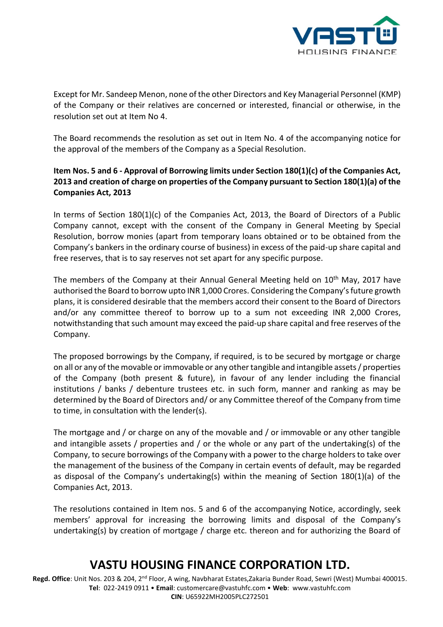![](_page_9_Picture_0.jpeg)

Except for Mr. Sandeep Menon, none of the other Directors and Key Managerial Personnel (KMP) of the Company or their relatives are concerned or interested, financial or otherwise, in the resolution set out at Item No 4.

The Board recommends the resolution as set out in Item No. 4 of the accompanying notice for the approval of the members of the Company as a Special Resolution.

### **Item Nos. 5 and 6 - Approval of Borrowing limits under Section 180(1)(c) of the Companies Act, 2013 and creation of charge on properties of the Company pursuant to Section 180(1)(a) of the Companies Act, 2013**

In terms of Section 180(1)(c) of the Companies Act, 2013, the Board of Directors of a Public Company cannot, except with the consent of the Company in General Meeting by Special Resolution, borrow monies (apart from temporary loans obtained or to be obtained from the Company's bankers in the ordinary course of business) in excess of the paid-up share capital and free reserves, that is to say reserves not set apart for any specific purpose.

The members of the Company at their Annual General Meeting held on  $10<sup>th</sup>$  May, 2017 have authorised the Board to borrow upto INR 1,000 Crores. Considering the Company's future growth plans, it is considered desirable that the members accord their consent to the Board of Directors and/or any committee thereof to borrow up to a sum not exceeding INR 2,000 Crores, notwithstanding that such amount may exceed the paid-up share capital and free reserves of the Company.

The proposed borrowings by the Company, if required, is to be secured by mortgage or charge on all or any of the movable or immovable or any other tangible and intangible assets / properties of the Company (both present & future), in favour of any lender including the financial institutions / banks / debenture trustees etc. in such form, manner and ranking as may be determined by the Board of Directors and/ or any Committee thereof of the Company from time to time, in consultation with the lender(s).

The mortgage and / or charge on any of the movable and / or immovable or any other tangible and intangible assets / properties and / or the whole or any part of the undertaking(s) of the Company, to secure borrowings of the Company with a power to the charge holders to take over the management of the business of the Company in certain events of default, may be regarded as disposal of the Company's undertaking(s) within the meaning of Section 180(1)(a) of the Companies Act, 2013.

The resolutions contained in Item nos. 5 and 6 of the accompanying Notice, accordingly, seek members' approval for increasing the borrowing limits and disposal of the Company's undertaking(s) by creation of mortgage / charge etc. thereon and for authorizing the Board of

# **VASTU HOUSING FINANCE CORPORATION LTD.**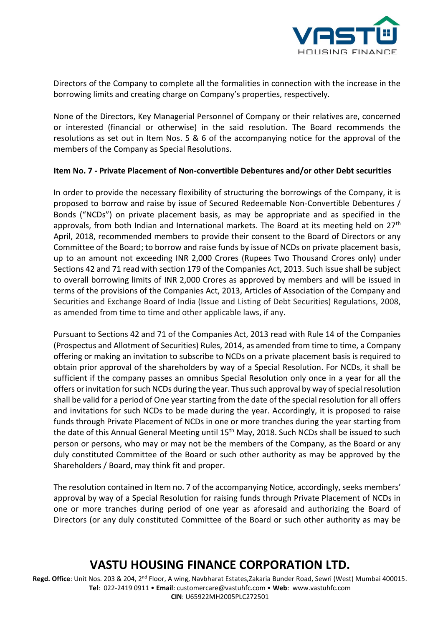![](_page_10_Picture_0.jpeg)

Directors of the Company to complete all the formalities in connection with the increase in the borrowing limits and creating charge on Company's properties, respectively.

None of the Directors, Key Managerial Personnel of Company or their relatives are, concerned or interested (financial or otherwise) in the said resolution. The Board recommends the resolutions as set out in Item Nos. 5 & 6 of the accompanying notice for the approval of the members of the Company as Special Resolutions.

### **Item No. 7 - Private Placement of Non-convertible Debentures and/or other Debt securities**

In order to provide the necessary flexibility of structuring the borrowings of the Company, it is proposed to borrow and raise by issue of Secured Redeemable Non-Convertible Debentures / Bonds ("NCDs") on private placement basis, as may be appropriate and as specified in the approvals, from both Indian and International markets. The Board at its meeting held on 27<sup>th</sup> April, 2018, recommended members to provide their consent to the Board of Directors or any Committee of the Board; to borrow and raise funds by issue of NCDs on private placement basis, up to an amount not exceeding INR 2,000 Crores (Rupees Two Thousand Crores only) under Sections 42 and 71 read with section 179 of the Companies Act, 2013. Such issue shall be subject to overall borrowing limits of INR 2,000 Crores as approved by members and will be issued in terms of the provisions of the Companies Act, 2013, Articles of Association of the Company and Securities and Exchange Board of India (Issue and Listing of Debt Securities) Regulations, 2008, as amended from time to time and other applicable laws, if any.

Pursuant to Sections 42 and 71 of the Companies Act, 2013 read with Rule 14 of the Companies (Prospectus and Allotment of Securities) Rules, 2014, as amended from time to time, a Company offering or making an invitation to subscribe to NCDs on a private placement basis is required to obtain prior approval of the shareholders by way of a Special Resolution. For NCDs, it shall be sufficient if the company passes an omnibus Special Resolution only once in a year for all the offers or invitation for such NCDs during the year. Thus such approval by way of special resolution shall be valid for a period of One year starting from the date of the special resolution for all offers and invitations for such NCDs to be made during the year. Accordingly, it is proposed to raise funds through Private Placement of NCDs in one or more tranches during the year starting from the date of this Annual General Meeting until 15<sup>th</sup> May, 2018. Such NCDs shall be issued to such person or persons, who may or may not be the members of the Company, as the Board or any duly constituted Committee of the Board or such other authority as may be approved by the Shareholders / Board, may think fit and proper.

The resolution contained in Item no. 7 of the accompanying Notice, accordingly, seeks members' approval by way of a Special Resolution for raising funds through Private Placement of NCDs in one or more tranches during period of one year as aforesaid and authorizing the Board of Directors (or any duly constituted Committee of the Board or such other authority as may be

## **VASTU HOUSING FINANCE CORPORATION LTD.**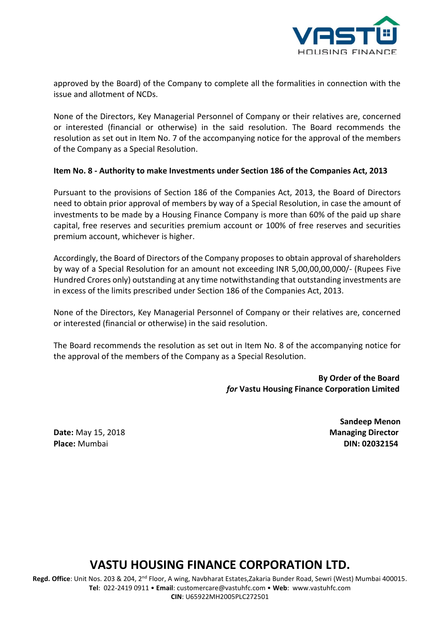![](_page_11_Picture_0.jpeg)

approved by the Board) of the Company to complete all the formalities in connection with the issue and allotment of NCDs.

None of the Directors, Key Managerial Personnel of Company or their relatives are, concerned or interested (financial or otherwise) in the said resolution. The Board recommends the resolution as set out in Item No. 7 of the accompanying notice for the approval of the members of the Company as a Special Resolution.

#### **Item No. 8 - Authority to make Investments under Section 186 of the Companies Act, 2013**

Pursuant to the provisions of Section 186 of the Companies Act, 2013, the Board of Directors need to obtain prior approval of members by way of a Special Resolution, in case the amount of investments to be made by a Housing Finance Company is more than 60% of the paid up share capital, free reserves and securities premium account or 100% of free reserves and securities premium account, whichever is higher.

Accordingly, the Board of Directors of the Company proposes to obtain approval of shareholders by way of a Special Resolution for an amount not exceeding INR 5,00,00,00,000/- (Rupees Five Hundred Crores only) outstanding at any time notwithstanding that outstanding investments are in excess of the limits prescribed under Section 186 of the Companies Act, 2013.

None of the Directors, Key Managerial Personnel of Company or their relatives are, concerned or interested (financial or otherwise) in the said resolution.

The Board recommends the resolution as set out in Item No. 8 of the accompanying notice for the approval of the members of the Company as a Special Resolution.

> **By Order of the Board**  *for* **Vastu Housing Finance Corporation Limited**

**Date:** May 15, 2018 **Managing Director Place:** Mumbai **DIN: 02032154**

**Sandeep Menon**

## **VASTU HOUSING FINANCE CORPORATION LTD.**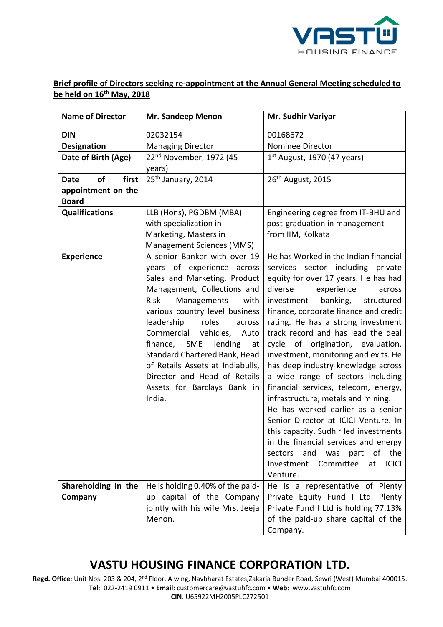![](_page_12_Picture_0.jpeg)

### **Brief profile of Directors seeking re-appointment at the Annual General Meeting scheduled to be held on 16th May, 2018**

| <b>Name of Director</b>    | Mr. Sandeep Menon                                                                                                                                                                                                                                                                                                                                                                                                                          | Mr. Sudhir Variyar                                                                                                                                                                                                                                                                                                                                                                                                                                                                                                                                                                                                                                                                                                                                                                                                                |
|----------------------------|--------------------------------------------------------------------------------------------------------------------------------------------------------------------------------------------------------------------------------------------------------------------------------------------------------------------------------------------------------------------------------------------------------------------------------------------|-----------------------------------------------------------------------------------------------------------------------------------------------------------------------------------------------------------------------------------------------------------------------------------------------------------------------------------------------------------------------------------------------------------------------------------------------------------------------------------------------------------------------------------------------------------------------------------------------------------------------------------------------------------------------------------------------------------------------------------------------------------------------------------------------------------------------------------|
| <b>DIN</b>                 | 02032154                                                                                                                                                                                                                                                                                                                                                                                                                                   | 00168672                                                                                                                                                                                                                                                                                                                                                                                                                                                                                                                                                                                                                                                                                                                                                                                                                          |
| <b>Designation</b>         | <b>Managing Director</b>                                                                                                                                                                                                                                                                                                                                                                                                                   | Nominee Director                                                                                                                                                                                                                                                                                                                                                                                                                                                                                                                                                                                                                                                                                                                                                                                                                  |
| Date of Birth (Age)        | 22 <sup>nd</sup> November, 1972 (45                                                                                                                                                                                                                                                                                                                                                                                                        | $1st$ August, 1970 (47 years)                                                                                                                                                                                                                                                                                                                                                                                                                                                                                                                                                                                                                                                                                                                                                                                                     |
|                            | years)                                                                                                                                                                                                                                                                                                                                                                                                                                     |                                                                                                                                                                                                                                                                                                                                                                                                                                                                                                                                                                                                                                                                                                                                                                                                                                   |
| of<br>first<br><b>Date</b> | 25 <sup>th</sup> January, 2014                                                                                                                                                                                                                                                                                                                                                                                                             | 26 <sup>th</sup> August, 2015                                                                                                                                                                                                                                                                                                                                                                                                                                                                                                                                                                                                                                                                                                                                                                                                     |
| appointment on the         |                                                                                                                                                                                                                                                                                                                                                                                                                                            |                                                                                                                                                                                                                                                                                                                                                                                                                                                                                                                                                                                                                                                                                                                                                                                                                                   |
| <b>Board</b>               |                                                                                                                                                                                                                                                                                                                                                                                                                                            |                                                                                                                                                                                                                                                                                                                                                                                                                                                                                                                                                                                                                                                                                                                                                                                                                                   |
| <b>Qualifications</b>      | LLB (Hons), PGDBM (MBA)                                                                                                                                                                                                                                                                                                                                                                                                                    | Engineering degree from IT-BHU and                                                                                                                                                                                                                                                                                                                                                                                                                                                                                                                                                                                                                                                                                                                                                                                                |
|                            | with specialization in                                                                                                                                                                                                                                                                                                                                                                                                                     | post-graduation in management                                                                                                                                                                                                                                                                                                                                                                                                                                                                                                                                                                                                                                                                                                                                                                                                     |
|                            | Marketing, Masters in                                                                                                                                                                                                                                                                                                                                                                                                                      | from IIM, Kolkata                                                                                                                                                                                                                                                                                                                                                                                                                                                                                                                                                                                                                                                                                                                                                                                                                 |
|                            | Management Sciences (MMS)                                                                                                                                                                                                                                                                                                                                                                                                                  |                                                                                                                                                                                                                                                                                                                                                                                                                                                                                                                                                                                                                                                                                                                                                                                                                                   |
| <b>Experience</b>          | A senior Banker with over 19<br>years of experience across<br>Sales and Marketing, Product<br>Management, Collections and<br>Risk<br>Managements<br>with<br>various country level business<br>leadership<br>roles<br>across<br>Commercial vehicles,<br>Auto<br>finance, SME<br>lending<br>at<br>Standard Chartered Bank, Head<br>of Retails Assets at Indiabulls,<br>Director and Head of Retails<br>Assets for Barclays Bank in<br>India. | He has Worked in the Indian financial<br>services sector including private<br>equity for over 17 years. He has had<br>experience<br>diverse<br>across<br>banking,<br>investment<br>structured<br>finance, corporate finance and credit<br>rating. He has a strong investment<br>track record and has lead the deal<br>cycle of origination, evaluation,<br>investment, monitoring and exits. He<br>has deep industry knowledge across<br>a wide range of sectors including<br>financial services, telecom, energy,<br>infrastructure, metals and mining.<br>He has worked earlier as a senior<br>Senior Director at ICICI Venture. In<br>this capacity, Sudhir led investments<br>in the financial services and energy<br>the<br>and<br>was<br>part<br>of<br>sectors<br>Committee<br><b>ICICI</b><br>Investment<br>at<br>Venture. |
| Shareholding in the        | He is holding 0.40% of the paid-                                                                                                                                                                                                                                                                                                                                                                                                           | He is a representative of Plenty                                                                                                                                                                                                                                                                                                                                                                                                                                                                                                                                                                                                                                                                                                                                                                                                  |
| Company                    | up capital of the Company                                                                                                                                                                                                                                                                                                                                                                                                                  | Private Equity Fund I Ltd. Plenty                                                                                                                                                                                                                                                                                                                                                                                                                                                                                                                                                                                                                                                                                                                                                                                                 |
|                            | jointly with his wife Mrs. Jeeja                                                                                                                                                                                                                                                                                                                                                                                                           | Private Fund I Ltd is holding 77.13%                                                                                                                                                                                                                                                                                                                                                                                                                                                                                                                                                                                                                                                                                                                                                                                              |
|                            | Menon.                                                                                                                                                                                                                                                                                                                                                                                                                                     | of the paid-up share capital of the                                                                                                                                                                                                                                                                                                                                                                                                                                                                                                                                                                                                                                                                                                                                                                                               |
|                            |                                                                                                                                                                                                                                                                                                                                                                                                                                            | Company.                                                                                                                                                                                                                                                                                                                                                                                                                                                                                                                                                                                                                                                                                                                                                                                                                          |

# **VASTU HOUSING FINANCE CORPORATION LTD.**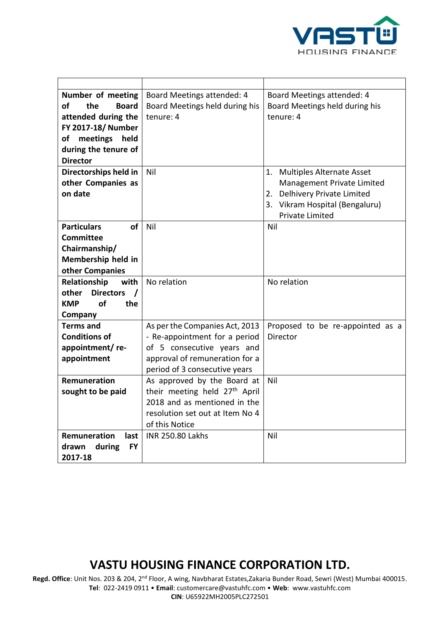![](_page_13_Picture_0.jpeg)

| Number of meeting                     | Board Meetings attended: 4                | Board Meetings attended: 4             |
|---------------------------------------|-------------------------------------------|----------------------------------------|
| οf<br>the<br><b>Board</b>             | Board Meetings held during his            | Board Meetings held during his         |
| attended during the                   | tenure: 4                                 | tenure: 4                              |
| FY 2017-18/ Number                    |                                           |                                        |
| of<br>meetings<br>held                |                                           |                                        |
| during the tenure of                  |                                           |                                        |
| <b>Director</b>                       |                                           |                                        |
| Directorships held in                 | Nil                                       | <b>Multiples Alternate Asset</b><br>1. |
| other Companies as                    |                                           | Management Private Limited             |
| on date                               |                                           | 2. Delhivery Private Limited           |
|                                       |                                           | 3. Vikram Hospital (Bengaluru)         |
|                                       |                                           | <b>Private Limited</b>                 |
| <b>of</b><br><b>Particulars</b>       | Nil                                       | Nil                                    |
| <b>Committee</b>                      |                                           |                                        |
| Chairmanship/                         |                                           |                                        |
| Membership held in                    |                                           |                                        |
| other Companies                       |                                           |                                        |
| Relationship<br>with                  | No relation                               | No relation                            |
| <b>Directors</b><br>other<br>$\prime$ |                                           |                                        |
| of<br><b>KMP</b><br>the               |                                           |                                        |
| Company                               |                                           |                                        |
| <b>Terms and</b>                      | As per the Companies Act, 2013            | Proposed to be re-appointed as a       |
| <b>Conditions of</b>                  | - Re-appointment for a period             | Director                               |
| appointment/re-                       | of 5 consecutive years and                |                                        |
| appointment                           | approval of remuneration for a            |                                        |
|                                       | period of 3 consecutive years             |                                        |
| Remuneration                          | As approved by the Board at               | Nil                                    |
| sought to be paid                     | their meeting held 27 <sup>th</sup> April |                                        |
|                                       | 2018 and as mentioned in the              |                                        |
|                                       | resolution set out at Item No 4           |                                        |
|                                       | of this Notice                            |                                        |
| Remuneration<br>last                  | <b>INR 250.80 Lakhs</b>                   | Nil                                    |
| during<br><b>FY</b><br>drawn          |                                           |                                        |
| 2017-18                               |                                           |                                        |

## **VASTU HOUSING FINANCE CORPORATION LTD.**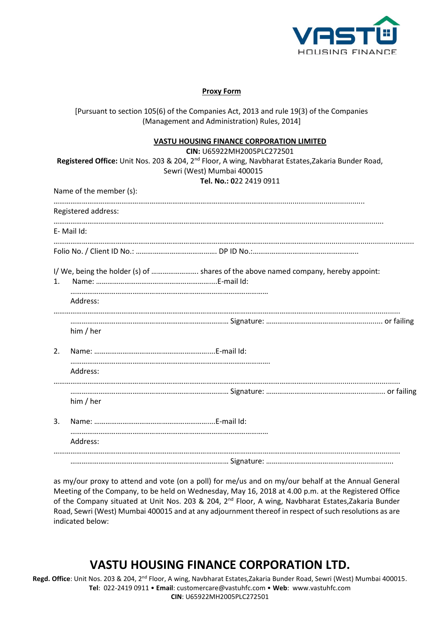![](_page_14_Picture_0.jpeg)

#### **Proxy Form**

[Pursuant to section 105(6) of the Companies Act, 2013 and rule 19(3) of the Companies (Management and Administration) Rules, 2014]

#### **VASTU HOUSING FINANCE CORPORATION LIMITED**

|    |                         | CIN: U65922MH2005PLC272501                                                                                     |  |
|----|-------------------------|----------------------------------------------------------------------------------------------------------------|--|
|    |                         | Registered Office: Unit Nos. 203 & 204, 2 <sup>nd</sup> Floor, A wing, Navbharat Estates, Zakaria Bunder Road, |  |
|    |                         | Sewri (West) Mumbai 400015                                                                                     |  |
|    |                         | Tel. No.: 022 2419 0911                                                                                        |  |
|    | Name of the member (s): |                                                                                                                |  |
|    | Registered address:     |                                                                                                                |  |
|    | E-Mail Id:              |                                                                                                                |  |
|    |                         |                                                                                                                |  |
| 1. |                         | I/ We, being the holder (s) of  shares of the above named company, hereby appoint:                             |  |
|    | Address:                |                                                                                                                |  |
|    |                         |                                                                                                                |  |
|    | him / her               |                                                                                                                |  |
| 2. |                         |                                                                                                                |  |
|    | Address:                |                                                                                                                |  |
|    |                         |                                                                                                                |  |
| 3. | him / her               |                                                                                                                |  |
|    |                         |                                                                                                                |  |
|    | Address:                |                                                                                                                |  |
|    |                         |                                                                                                                |  |

as my/our proxy to attend and vote (on a poll) for me/us and on my/our behalf at the Annual General Meeting of the Company, to be held on Wednesday, May 16, 2018 at 4.00 p.m. at the Registered Office of the Company situated at Unit Nos. 203 & 204, 2<sup>nd</sup> Floor, A wing, Navbharat Estates, Zakaria Bunder Road, Sewri (West) Mumbai 400015 and at any adjournment thereof in respect of such resolutions as are indicated below:

## **VASTU HOUSING FINANCE CORPORATION LTD.**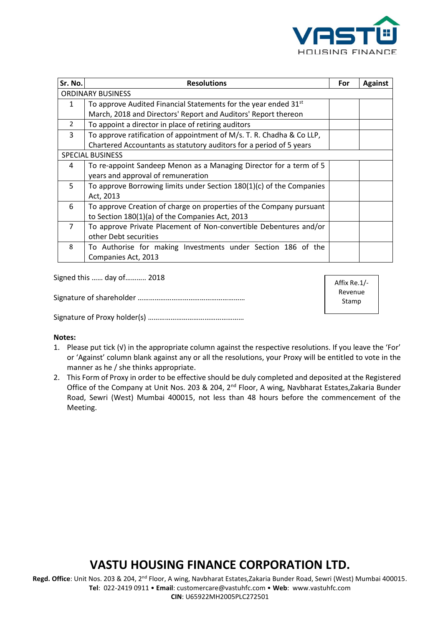![](_page_15_Picture_0.jpeg)

| Sr. No.                  | <b>Resolutions</b>                                                          | For | <b>Against</b> |
|--------------------------|-----------------------------------------------------------------------------|-----|----------------|
| <b>ORDINARY BUSINESS</b> |                                                                             |     |                |
| 1                        | To approve Audited Financial Statements for the year ended 31 <sup>st</sup> |     |                |
|                          | March, 2018 and Directors' Report and Auditors' Report thereon              |     |                |
| $\overline{2}$           | To appoint a director in place of retiring auditors                         |     |                |
| 3                        | To approve ratification of appointment of M/s. T. R. Chadha & Co LLP,       |     |                |
|                          | Chartered Accountants as statutory auditors for a period of 5 years         |     |                |
|                          | <b>SPECIAL BUSINESS</b>                                                     |     |                |
| 4                        | To re-appoint Sandeep Menon as a Managing Director for a term of 5          |     |                |
|                          | years and approval of remuneration                                          |     |                |
| 5                        | To approve Borrowing limits under Section 180(1)(c) of the Companies        |     |                |
|                          | Act, 2013                                                                   |     |                |
| 6                        | To approve Creation of charge on properties of the Company pursuant         |     |                |
|                          | to Section 180(1)(a) of the Companies Act, 2013                             |     |                |
| $\overline{7}$           | To approve Private Placement of Non-convertible Debentures and/or           |     |                |
|                          | other Debt securities                                                       |     |                |
| 8                        | To Authorise for making Investments under Section 186 of the                |     |                |
|                          | Companies Act, 2013                                                         |     |                |

Signed this …… day of……….. 2018

Signature of shareholder …………………………………………………

Affix Re.1/- Revenue Stamp

Signature of Proxy holder(s) ……………………………………………

#### **Notes:**

- 1. Please put tick (√) in the appropriate column against the respective resolutions. If you leave the 'For' or 'Against' column blank against any or all the resolutions, your Proxy will be entitled to vote in the manner as he / she thinks appropriate.
- 2. This Form of Proxy in order to be effective should be duly completed and deposited at the Registered Office of the Company at Unit Nos. 203 & 204, 2<sup>nd</sup> Floor, A wing, Navbharat Estates, Zakaria Bunder Road, Sewri (West) Mumbai 400015, not less than 48 hours before the commencement of the Meeting.

## **VASTU HOUSING FINANCE CORPORATION LTD.**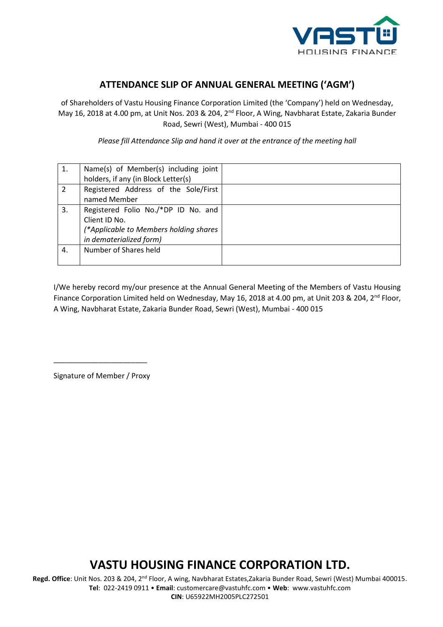![](_page_16_Picture_0.jpeg)

### **ATTENDANCE SLIP OF ANNUAL GENERAL MEETING ('AGM')**

of Shareholders of Vastu Housing Finance Corporation Limited (the 'Company') held on Wednesday, May 16, 2018 at 4.00 pm, at Unit Nos. 203 & 204, 2<sup>nd</sup> Floor, A Wing, Navbharat Estate, Zakaria Bunder Road, Sewri (West), Mumbai - 400 015

*Please fill Attendance Slip and hand it over at the entrance of the meeting hall*

| 1. | Name(s) of Member(s) including joint   |  |
|----|----------------------------------------|--|
|    | holders, if any (in Block Letter(s)    |  |
| 2  | Registered Address of the Sole/First   |  |
|    | named Member                           |  |
| 3. | Registered Folio No./*DP ID No. and    |  |
|    | Client ID No.                          |  |
|    | (*Applicable to Members holding shares |  |
|    | in dematerialized form)                |  |
| 4. | Number of Shares held                  |  |
|    |                                        |  |

I/We hereby record my/our presence at the Annual General Meeting of the Members of Vastu Housing Finance Corporation Limited held on Wednesday, May 16, 2018 at 4.00 pm, at Unit 203 & 204, 2<sup>nd</sup> Floor, A Wing, Navbharat Estate, Zakaria Bunder Road, Sewri (West), Mumbai - 400 015

Signature of Member / Proxy

\_\_\_\_\_\_\_\_\_\_\_\_\_\_\_\_\_\_\_\_\_\_\_

## **VASTU HOUSING FINANCE CORPORATION LTD.**